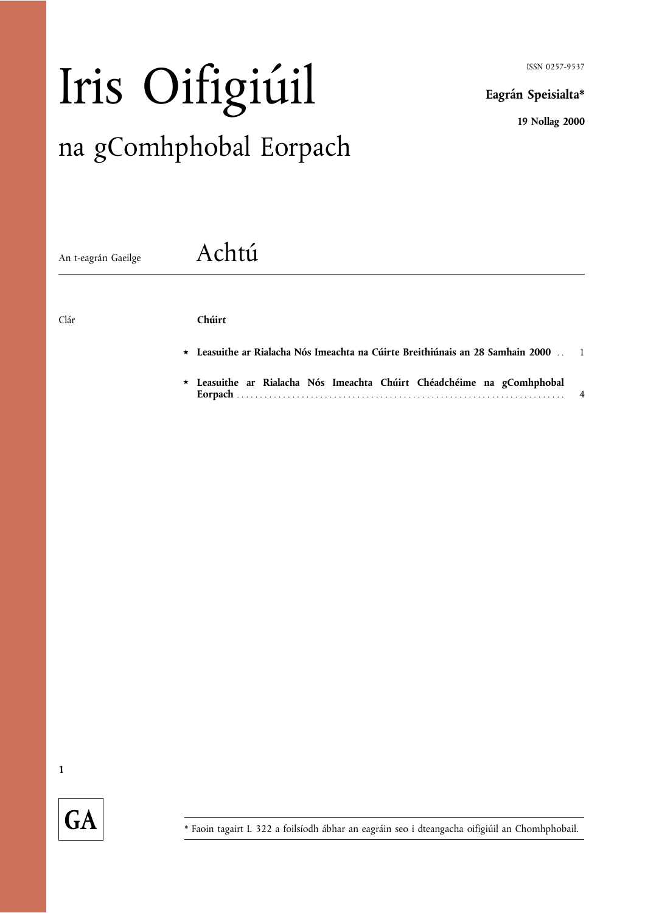ISSN 0257-9537

Eagrán Speisialta\*

19 Nollag 2000

# Iris Oifigiúil na gComhphobal Eorpach

An t-eagrán Gaeilge **Achtú** 

# Clár Chúirt

- \* Leasuithe ar Rialacha Nós Imeachta na Cúirte Breithiúnais an 28 Samhain 2000 . . 1
- ® Leasuithe ar Rialacha Nós Imeachta Chúirt Chéadchéime na gComhphobal Eorpach . . ... . . ... ... ... ... ... ... . . ... ... ... ... ... ... . . ... ... ... ... ... ... . . ... . 4

1

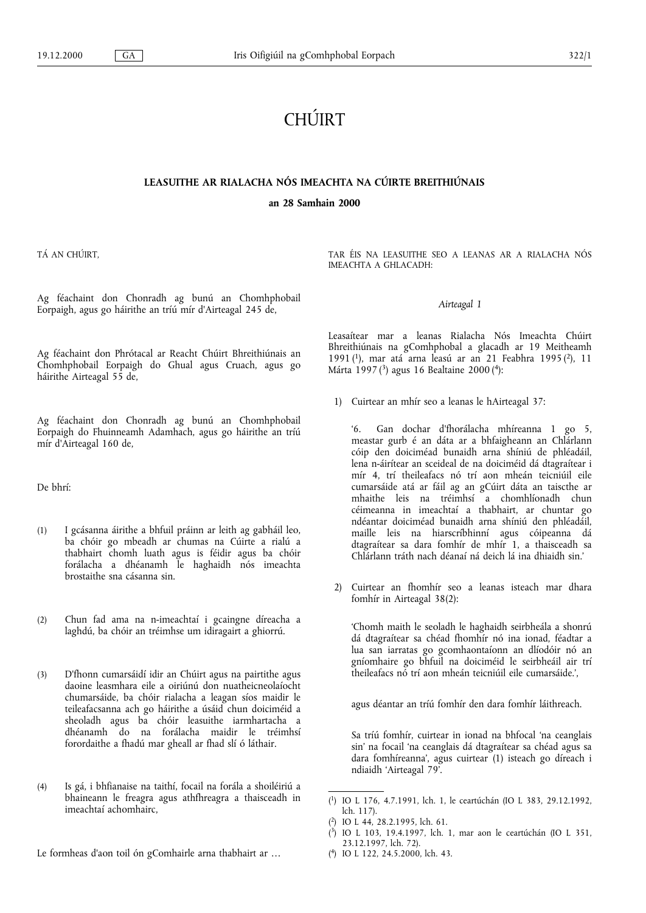# CHÚIRT

### LEASUITHE AR RIALACHA NÓS IMEACHTA NA CÚIRTE BREITHIÚNAIS

an 28 Samhain 2000

TÁ AN CHÚIRT,

Ag féachaint don Chonradh ag bunú an Chomhphobail Eorpaigh, agus go háirithe an tríú mír d'Airteagal 245 de,

Ag féachaint don Phrótacal ar Reacht Chúirt Bhreithiúnais an Chomhphobail Eorpaigh do Ghual agus Cruach, agus go háirithe Airteagal 55 de,

Ag féachaint don Chonradh ag bunú an Chomhphobail Eorpaigh do Fhuinneamh Adamhach, agus go háirithe an tríú mír d'Airteagal 160 de,

De bhrí:

- (1) I gcásanna áirithe a bhfuil práinn ar leith ag gabháil leo, ba chóir go mbeadh ar chumas na Cúirte a rialú a thabhairt chomh luath agus is féidir agus ba chóir forálacha a dhéanamh le haghaidh nós imeachta brostaithe sna cásanna sin.
- (2) Chun fad ama na n-imeachtaí i gcaingne díreacha a laghdú, ba chóir an tréimhse um idiragairt a ghiorrú.
- (3) D'fhonn cumarsáidí idir an Chúirt agus na pairtithe agus daoine leasmhara eile a oiriúnú don nuatheicneolaíocht chumarsáide, ba chóir rialacha a leagan síos maidir le teileafacsanna ach go háirithe a úsáid chun doiciméid a sheoladh agus ba chóir leasuithe iarmhartacha a dhéanamh do na forálacha maidir le tréimhsí forordaithe a fhadú mar gheall ar fhad slí ó láthair.
- (4) Is gá, i bhfianaise na taithí, focail na forála a shoiléiriú a bhaineann le freagra agus athfhreagra a thaisceadh in imeachtaí achomhairc,
- Le formheas d'aon toil ón gComhairle arna thabhairt ar

TAR ÉIS NA LEASUITHE SEO A LEANAS AR A RIALACHA NÓS IMEACHTA A GHLACADH:

#### Airteagal 1

Leasaítear mar a leanas Rialacha Nós Imeachta Chúirt Bhreithiúnais na gComhphobal a glacadh ar 19 Meitheamh 1991 (1), mar atá arna leasú ar an 21 Feabhra 1995 (2), 11 Márta 1997 $(3)$  agus 16 Bealtaine 2000 $(4)$ :

1) Cuirtear an mhír seo a leanas le hAirteagal 37:

6. Gan dochar d'fhorálacha mhíreanna 1 go 5, meastar gurb é an dáta ar a bhfaigheann an Chlárlann cóip den doiciméad bunaidh arna shíniú de phléadáil, lena n-áirítear an sceideal de na doiciméid dá dtagraítear i mír 4, trí theileafacs nó trí aon mheán teicniúil eile cumarsáide atá ar fáil ag an gCúirt dáta an taiscthe ar mhaithe leis na tréimhsí a chomhlíonadh chun céimeanna in imeachtaí a thabhairt, ar chuntar go ndéantar doiciméad bunaidh arna shíniú den phléadáil, maille leis na hiarscríbhinní agus cóipeanna dá dtagraítear sa dara fomhír de mhír 1, a thaisceadh sa Chlárlann tráth nach déanaí ná deich lá ina dhiaidh sin.

2) Cuirtear an fhomhír seo a leanas isteach mar dhara fomhír in Airteagal 38(2):

Chomh maith le seoladh le haghaidh seirbheála a shonrú dá dtagraítear sa chéad fhomhír nó ina ionad, féadtar a lua san iarratas go gcomhaontaíonn an dlíodóir nó an gníomhaire go bhfuil na doiciméid le seirbheáil air trí theileafacs nó trí aon mheán teicniúil eile cumarsáide.',

agus déantar an tríú fomhír den dara fomhír láithreach.

Sa tríú fomhír, cuirtear in ionad na bhfocal 'na ceanglais sin' na focail 'na ceanglais dá dtagraítear sa chéad agus sa dara fomhíreanna', agus cuirtear (1) isteach go díreach i ndiaidh Airteagal 79.

( 4) IO L 122, 24.5.2000, lch. 43.

<sup>(</sup> 1) IO L 176, 4.7.1991, lch. 1, le ceartúchán (IO L 383, 29.12.1992, lch. 117).

<sup>(</sup> 2) IO L 44, 28.2.1995, lch. 61.

<sup>(</sup> 3) IO L 103, 19.4.1997, lch. 1, mar aon le ceartúchán (IO L 351, 23.12.1997, lch. 72).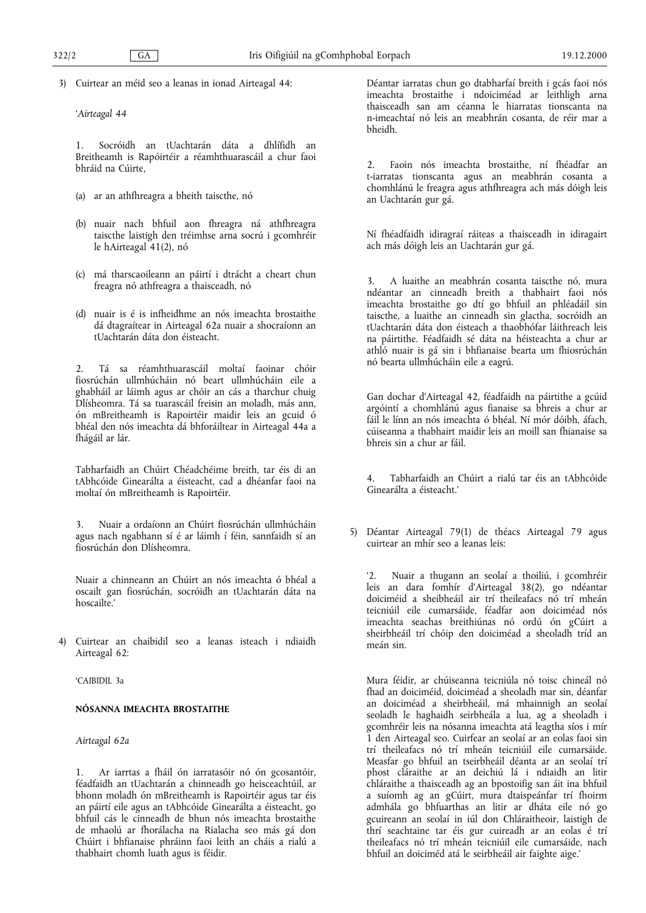3) Cuirtear an méid seo a leanas in ionad Airteagal 44:

Airteagal 44

1. Socróidh an tUachtarán dáta a dhlífidh an Breitheamh is Rapóirtéir a réamhthuarascáil a chur faoi bhráid na Cúirte,

- (a) ar an athfhreagra a bheith taiscthe, nó
- (b) nuair nach bhfuil aon fhreagra ná athfhreagra taiscthe laistigh den tréimhse arna socrú i gcomhréir le hAirteagal 41(2), nó
- (c) má tharscaoileann an páirtí i dtrácht a cheart chun freagra nó athfreagra a thaisceadh, nó
- (d) nuair is é is infheidhme an nós imeachta brostaithe dá dtagraítear in Airteagal 62a nuair a shocraíonn an tUachtarán dáta don éisteacht.

2. Tá sa réamhthuarascáil moltaí faoinar chóir fiosrúchán ullmhúcháin nó beart ullmhúcháin eile a ghabháil ar láimh agus ar chóir an cás a tharchur chuig Dlísheomra. Tá sa tuarascáil freisin an moladh, más ann, ón mBreitheamh is Rapoirtéir maidir leis an gcuid ó bhéal den nós imeachta dá bhforáiltear in Airteagal 44a a fhágáil ar lár.

Tabharfaidh an Chúirt Chéadchéime breith, tar éis di an tAbhcóide Ginearálta a éisteacht, cad a dhéanfar faoi na moltaí ón mBreitheamh is Rapoirtéir.

3. Nuair a ordaíonn an Chúirt fiosrúchán ullmhúcháin agus nach ngabhann sí é ar láimh í féin, sannfaidh sí an fiosrúchán don Dlísheomra.

Nuair a chinneann an Chúirt an nós imeachta ó bhéal a oscailt gan fiosrúchán, socróidh an tUachtarán dáta na hoscailte.'

4) Cuirtear an chaibidil seo a leanas isteach i ndiaidh Airteagal 62:

CAIBIDIL 3a

## NÓSANNA IMEACHTA BROSTAITHE

Airteagal 62a

1. Ar iarrtas a fháil ón iarratasóir nó ón gcosantóir, féadfaidh an tUachtarán a chinneadh go heisceachtúil, ar bhonn moladh ón mBreitheamh is Rapoirtéir agus tar éis an páirtí eile agus an tAbhcóide Ginearálta a éisteacht, go bhfuil cás le cinneadh de bhun nós imeachta brostaithe de mhaolú ar fhorálacha na Rialacha seo más gá don Chúirt i bhfianaise phráinn faoi leith an cháis a rialú a thabhairt chomh luath agus is féidir.

Déantar iarratas chun go dtabharfaí breith i gcás faoi nós imeachta brostaithe i ndoiciméad ar leithligh arna thaisceadh san am céanna le hiarratas tionscanta na n-imeachtaí nó leis an meabhrán cosanta, de réir mar a bheidh.

2. Faoin nós imeachta brostaithe, ní fhéadfar an t-iarratas tionscanta agus an meabhrán cosanta a chomhlánú le freagra agus athfhreagra ach más dóigh leis an Uachtarán gur gá.

Ní fhéadfaidh idiragraí ráiteas a thaisceadh in idiragairt ach más dóigh leis an Uachtarán gur gá.

3. A luaithe an meabhrán cosanta taiscthe nó, mura ndéantar an cinneadh breith a thabhairt faoi nós imeachta brostaithe go dtí go bhfuil an phléadáil sin taiscthe, a luaithe an cinneadh sin glactha, socróidh an tUachtarán dáta don éisteach a thaobhófar láithreach leis na páirtithe. Féadfaidh sé dáta na héisteachta a chur ar athló nuair is gá sin i bhfianaise bearta um fhiosrúchán nó bearta ullmhúcháin eile a eagrú.

Gan dochar d'Airteagal 42, féadfaidh na páirtithe a gcúid argóintí a chomhlánú agus fianaise sa bhreis a chur ar fáil le línn an nós imeachta ó bhéal. Ní mór dóibh, áfach, cúiseanna a thabhairt maidir leis an moill san fhianaise sa bhreis sin a chur ar fáil.

4. Tabharfaidh an Chúirt a rialú tar éis an tAbhcóide Ginearálta a éisteacht.

5) Déantar Airteagal 79(1) de théacs Airteagal 79 agus cuirtear an mhír seo a leanas leis:

2. Nuair a thugann an seolaí a thoiliú, i gcomhréir leis an dara fomhír d'Airteagal 38(2), go ndéantar doiciméid a sheibheáil air trí theileafacs nó trí mheán teicniúil eile cumarsáide, féadfar aon doiciméad nós imeachta seachas breithiúnas nó ordú ón gCúirt a sheirbheáil trí chóip den doiciméad a sheoladh tríd an meán sin.

Mura féidir, ar chúiseanna teicniúla nó toisc chineál nó fhad an doiciméid, doiciméad a sheoladh mar sin, déanfar an doiciméad a sheirbheáil, má mhainnigh an seolaí seoladh le haghaidh seirbheála a lua, ag a sheoladh i gcomhréir leis na nósanna imeachta atá leagtha síos i mír 1 den Airteagal seo. Cuirfear an seolaí ar an eolas faoi sin trí theileafacs nó trí mheán teicniúil eile cumarsáide. Measfar go bhfuil an tseirbheáil déanta ar an seolaí trí phost cláraithe ar an deichiú lá i ndiaidh an litir chláraithe a thaisceadh ag an bpostoifig san áit ina bhfuil a suíomh ag an gCúirt, mura dtaispeánfar trí fhoirm admhála go bhfuarthas an litir ar dháta eile nó go gcuireann an seolaí in iúl don Chláraitheoir, laistigh de thrí seachtaine tar éis gur cuireadh ar an eolas é trí theileafacs nó trí mheán teicniúil eile cumarsáide, nach bhfuil an doiciméd atá le seirbheáil air faighte aige.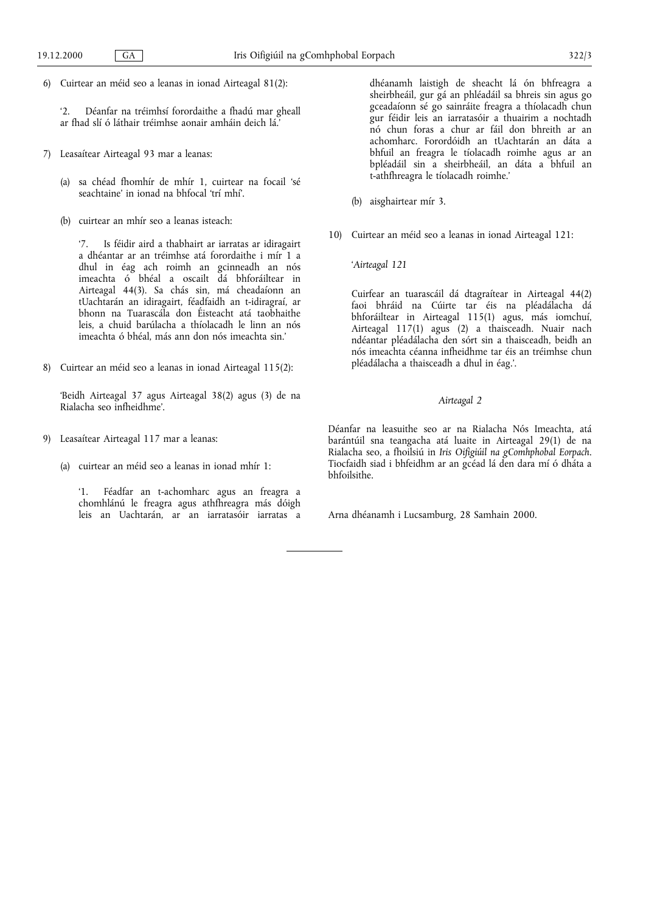6) Cuirtear an méid seo a leanas in ionad Airteagal 81(2):

2. Déanfar na tréimhsí forordaithe a fhadú mar gheall ar fhad slí ó láthair tréimhse aonair amháin deich lá.

- 7) Leasaítear Airteagal 93 mar a leanas:
	- (a) sa chéad fhomhír de mhír 1, cuirtear na focail sé seachtaine' in ionad na bhfocal 'trí mhí'.
	- (b) cuirtear an mhír seo a leanas isteach:

7. Is féidir aird a thabhairt ar iarratas ar idiragairt a dhéantar ar an tréimhse atá forordaithe i mír 1 a dhul in éag ach roimh an gcinneadh an nós imeachta ó bhéal a oscailt dá bhforáiltear in Airteagal 44(3). Sa chás sin, má cheadaíonn an tUachtarán an idiragairt, féadfaidh an t-idiragraí, ar bhonn na Tuarascála don Éisteacht atá taobhaithe leis, a chuid barúlacha a thíolacadh le linn an nós imeachta ó bhéal, más ann don nós imeachta sin.

8) Cuirtear an méid seo a leanas in ionad Airteagal 115(2):

Beidh Airteagal 37 agus Airteagal 38(2) agus (3) de na Rialacha seo infheidhme.

- 9) Leasaítear Airteagal 117 mar a leanas:
	- (a) cuirtear an méid seo a leanas in ionad mhír 1:

1. Féadfar an t-achomharc agus an freagra a chomhlánú le freagra agus athfhreagra más dóigh leis an Uachtarán, ar an iarratasóir iarratas a

dhéanamh laistigh de sheacht lá ón bhfreagra a sheirbheáil, gur gá an phléadáil sa bhreis sin agus go gceadaíonn sé go sainráite freagra a thíolacadh chun gur féidir leis an iarratasóir a thuairim a nochtadh nó chun foras a chur ar fáil don bhreith ar an achomharc. Forordóidh an tUachtarán an dáta a bhfuil an freagra le tíolacadh roimhe agus ar an bpléadáil sin a sheirbheáil, an dáta a bhfuil an t-athfhreagra le tíolacadh roimhe.

- (b) aisghairtear mír 3.
- 10) Cuirtear an méid seo a leanas in ionad Airteagal 121:

Airteagal 121

Cuirfear an tuarascáil dá dtagraítear in Airteagal 44(2) faoi bhráid na Cúirte tar éis na pléadálacha dá bhforáiltear in Airteagal 115(1) agus, más iomchuí, Airteagal 117(1) agus (2) a thaisceadh. Nuair nach ndéantar pléadálacha den sórt sin a thaisceadh, beidh an nós imeachta céanna infheidhme tar éis an tréimhse chun pléadálacha a thaisceadh a dhul in éag..

#### Airteagal 2

Déanfar na leasuithe seo ar na Rialacha Nós Imeachta, atá barántúil sna teangacha atá luaite in Airteagal 29(1) de na Rialacha seo, a fhoilsiú in Iris Oifigiúil na gComhphobal Eorpach. Tiocfaidh siad i bhfeidhm ar an gcéad lá den dara mí ó dháta a bhfoilsithe.

Arna dhéanamh i Lucsamburg, 28 Samhain 2000.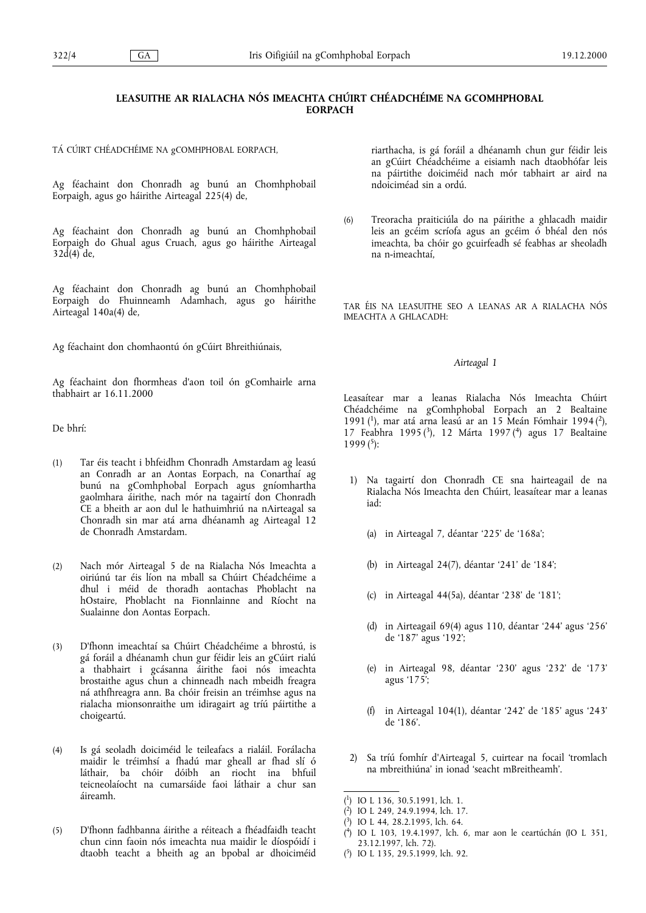# LEASUITHE AR RIALACHA NÓS IMEACHTA CHÚIRT CHÉADCHÉIME NA GCOMHPHOBAL **FORPACH**

TÁ CÚIRT CHÉADCHÉIME NA gCOMHPHOBAL EORPACH,

Ag féachaint don Chonradh ag bunú an Chomhphobail Eorpaigh, agus go háirithe Airteagal 225(4) de,

Ag féachaint don Chonradh ag bunú an Chomhphobail Eorpaigh do Ghual agus Cruach, agus go háirithe Airteagal  $32d(4)$  de,

Ag féachaint don Chonradh ag bunú an Chomhphobail Eorpaigh do Fhuinneamh Adamhach, agus go háirithe Airteagal 140a(4) de,

Ag féachaint don chomhaontú ón gCúirt Bhreithiúnais,

Ag féachaint don fhormheas d'aon toil ón gComhairle arna thabhairt ar 16.11.2000

De bhrí:

- (1) Tar éis teacht i bhfeidhm Chonradh Amstardam ag leasú an Conradh ar an Aontas Eorpach, na Conarthaí ag bunú na gComhphobal Eorpach agus gníomhartha gaolmhara áirithe, nach mór na tagairtí don Chonradh CE a bheith ar aon dul le hathuimhriú na nAirteagal sa Chonradh sin mar atá arna dhéanamh ag Airteagal 12 de Chonradh Amstardam.
- (2) Nach mór Airteagal 5 de na Rialacha Nós Imeachta a oiriúnú tar éis líon na mball sa Chúirt Chéadchéime a dhul i méid de thoradh aontachas Phoblacht na hOstaire, Phoblacht na Fionnlainne and Ríocht na Sualainne don Aontas Eorpach.
- (3) D'fhonn imeachtaí sa Chúirt Chéadchéime a bhrostú, is gá foráil a dhéanamh chun gur féidir leis an gCúirt rialú a thabhairt i gcásanna áirithe faoi nós imeachta brostaithe agus chun a chinneadh nach mbeidh freagra ná athfhreagra ann. Ba chóir freisin an tréimhse agus na rialacha mionsonraithe um idiragairt ag tríú páirtithe a choigeartú.
- (4) Is gá seoladh doiciméid le teileafacs a rialáil. Forálacha maidir le tréimhsí a fhadú mar gheall ar fhad slí ó láthair, ba chóir dóibh an riocht ina bhfuil teicneolaíocht na cumarsáide faoi láthair a chur san áireamh.
- (5) D'fhonn fadhbanna áirithe a réiteach a fhéadfaidh teacht chun cinn faoin nós imeachta nua maidir le díospóidí i dtaobh teacht a bheith ag an bpobal ar dhoiciméid

riarthacha, is gá foráil a dhéanamh chun gur féidir leis an gCúirt Chéadchéime a eisiamh nach dtaobhófar leis na páirtithe doiciméid nach mór tabhairt ar aird na ndoiciméad sin a ordú.

(6) Treoracha praiticiúla do na páirithe a ghlacadh maidir leis an gcéim scríofa agus an gcéim ó bhéal den nós imeachta, ba chóir go gcuirfeadh sé feabhas ar sheoladh na n-imeachtaí,

TAR ÉIS NA LEASUITHE SEO A LEANAS AR A RIALACHA NÓS IMEACHTA A GHLACADH:

#### Airteagal 1

Leasaítear mar a leanas Rialacha Nós Imeachta Chúirt Chéadchéime na gComhphobal Eorpach an 2 Bealtaine 1991 $(1)$ , mar atá arna leasú ar an 15 Meán Fómhair 1994 $(2)$ , 17 Feabhra 1995 (3), 12 Márta 1997 (4) agus 17 Bealtaine  $1999<sup>(5)</sup>$ :

- 1) Na tagairtí don Chonradh CE sna hairteagail de na Rialacha Nós Imeachta den Chúirt, leasaítear mar a leanas iad:
	- (a) in Airteagal 7, déantar '225' de '168a';
	- (b) in Airteagal 24(7), déantar '241' de '184';
	- (c) in Airteagal  $44(5a)$ , déantar '238' de '181';
	- (d) in Airteagail  $69(4)$  agus 110, déantar '244' agus '256' de 187 agus 192;
	- (e) in Airteagal 98, déantar 230 agus 232 de 173 agus 175;
	- (f) in Airteagal 104(1), déantar '242' de '185' agus '243' de 186.
- 2) Sa tríú fomhír d'Airteagal 5, cuirtear na focail 'tromlach na mbreithiúna' in ionad 'seacht mBreitheamh'.

- ( 4) IO L 103, 19.4.1997, lch. 6, mar aon le ceartúchán (IO L 351, 23.12.1997, lch. 72).
- ( 5) IO L 135, 29.5.1999, lch. 92.

<sup>(</sup> 1) IO L 136, 30.5.1991, lch. 1.

<sup>(</sup> 2) IO L 249, 24.9.1994, lch. 17.

<sup>(</sup> 3) IO L 44, 28.2.1995, lch. 64.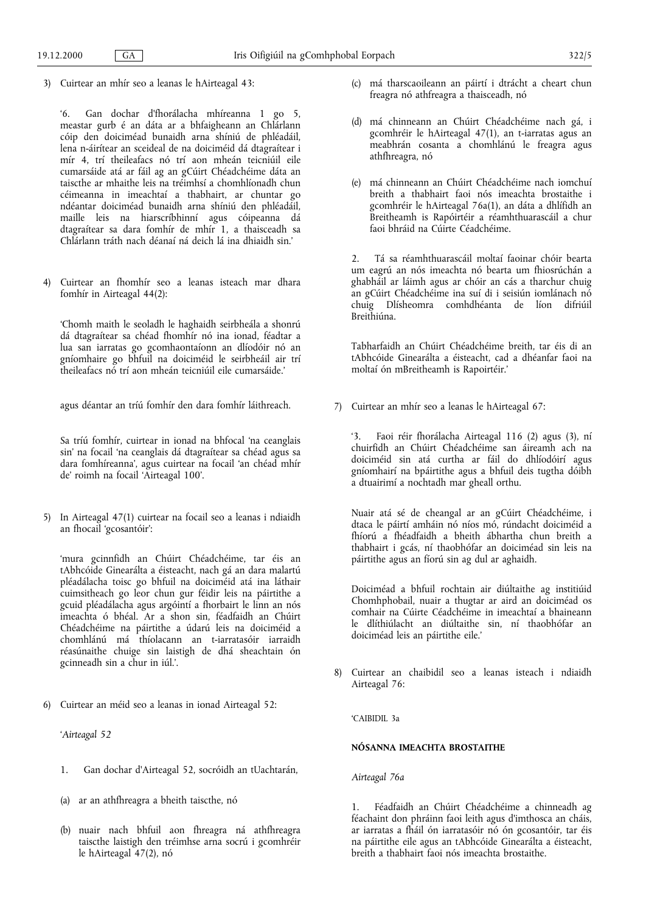3) Cuirtear an mhír seo a leanas le hAirteagal 43:

6. Gan dochar d'fhorálacha mhíreanna 1 go 5, meastar gurb é an dáta ar a bhfaigheann an Chlárlann cóip den doiciméad bunaidh arna shíniú de phléadáil, lena n-áirítear an sceideal de na doiciméid dá dtagraítear i mír 4, trí theileafacs nó trí aon mheán teicniúil eile cumarsáide atá ar fáil ag an gCúirt Chéadchéime dáta an taiscthe ar mhaithe leis na tréimhsí a chomhlíonadh chun céimeanna in imeachtaí a thabhairt, ar chuntar go ndéantar doiciméad bunaidh arna shíniú den phléadáil, maille leis na hiarscríbhinní agus cóipeanna dá dtagraítear sa dara fomhír de mhír 1, a thaisceadh sa Chlárlann tráth nach déanaí ná deich lá ina dhiaidh sin.

4) Cuirtear an fhomhír seo a leanas isteach mar dhara fomhír in Airteagal 44(2):

Chomh maith le seoladh le haghaidh seirbheála a shonrú dá dtagraítear sa chéad fhomhír nó ina ionad, féadtar a lua san iarratas go gcomhaontaíonn an dlíodóir nó an gníomhaire go bhfuil na doiciméid le seirbheáil air trí theileafacs nó trí aon mheán teicniúil eile cumarsáide.

agus déantar an tríú fomhír den dara fomhír láithreach.

Sa tríú fomhír, cuirtear in ionad na bhfocal 'na ceanglais sin' na focail 'na ceanglais dá dtagraítear sa chéad agus sa dara fomhíreanna', agus cuirtear na focail 'an chéad mhír de' roimh na focail 'Airteagal 100'.

5) In Airteagal 47(1) cuirtear na focail seo a leanas i ndiaidh an fhocail gcosantóir:

mura gcinnfidh an Chúirt Chéadchéime, tar éis an tAbhcóide Ginearálta a éisteacht, nach gá an dara malartú pléadálacha toisc go bhfuil na doiciméid atá ina láthair cuimsitheach go leor chun gur féidir leis na páirtithe a gcuid pléadálacha agus argóintí a fhorbairt le linn an nós imeachta ó bhéal. Ar a shon sin, féadfaidh an Chúirt Chéadchéime na páirtithe a údarú leis na doiciméid a chomhlánú má thíolacann an t-iarratasóir iarraidh réasúnaithe chuige sin laistigh de dhá sheachtain ón gcinneadh sin a chur in iúl.'.

6) Cuirtear an méid seo a leanas in ionad Airteagal 52:

Airteagal 52

- 1. Gan dochar d'Airteagal 52, socróidh an tUachtarán,
- (a) ar an athfhreagra a bheith taiscthe, nó
- (b) nuair nach bhfuil aon fhreagra ná athfhreagra taiscthe laistigh den tréimhse arna socrú i gcomhréir le hAirteagal 47(2), nó
- (c) má tharscaoileann an páirtí i dtrácht a cheart chun freagra nó athfreagra a thaisceadh, nó
- (d) má chinneann an Chúirt Chéadchéime nach gá, i gcomhréir le hAirteagal 47(1), an t-iarratas agus an meabhrán cosanta a chomhlánú le freagra agus athfhreagra, nó
- (e) má chinneann an Chúirt Chéadchéime nach iomchuí breith a thabhairt faoi nós imeachta brostaithe i gcomhréir le hAirteagal 76a(1), an dáta a dhlífidh an Breitheamh is Rapóirtéir a réamhthuarascáil a chur faoi bhráid na Cúirte Céadchéime.

2. Tá sa réamhthuarascáil moltaí faoinar chóir bearta um eagrú an nós imeachta nó bearta um fhiosrúchán a ghabháil ar láimh agus ar chóir an cás a tharchur chuig an gCúirt Chéadchéime ina suí di i seisiún iomlánach nó chuig Dlísheomra comhdhéanta de líon difriúil Breithiúna.

Tabharfaidh an Chúirt Chéadchéime breith, tar éis di an tAbhcóide Ginearálta a éisteacht, cad a dhéanfar faoi na moltaí ón mBreitheamh is Rapoirtéir.

7) Cuirtear an mhír seo a leanas le hAirteagal 67:

3. Faoi réir fhorálacha Airteagal 116 (2) agus (3), ní chuirfidh an Chúirt Chéadchéime san áireamh ach na doiciméid sin atá curtha ar fáil do dhlíodóirí agus gníomhairí na bpáirtithe agus a bhfuil deis tugtha dóibh a dtuairimí a nochtadh mar gheall orthu.

Nuair atá sé de cheangal ar an gCúirt Chéadchéime, i dtaca le páirtí amháin nó níos mó, rúndacht doiciméid a fhíorú a fhéadfaidh a bheith ábhartha chun breith a thabhairt i gcás, ní thaobhófar an doiciméad sin leis na páirtithe agus an fíorú sin ag dul ar aghaidh.

Doiciméad a bhfuil rochtain air diúltaithe ag institiúid Chomhphobail, nuair a thugtar ar aird an doiciméad os comhair na Cúirte Céadchéime in imeachtaí a bhaineann le dlíthiúlacht an diúltaithe sin, ní thaobhófar an doiciméad leis an páirtithe eile.

8) Cuirtear an chaibidil seo a leanas isteach i ndiaidh Airteagal 76:

CAIBIDIL 3a

#### NÓSANNA IMEACHTA BROSTAITHE

Airteagal 76a

1. Féadfaidh an Chúirt Chéadchéime a chinneadh ag féachaint don phráinn faoi leith agus d'imthosca an cháis, ar iarratas a fháil ón iarratasóir nó ón gcosantóir, tar éis na páirtithe eile agus an tAbhcóide Ginearálta a éisteacht, breith a thabhairt faoi nós imeachta brostaithe.